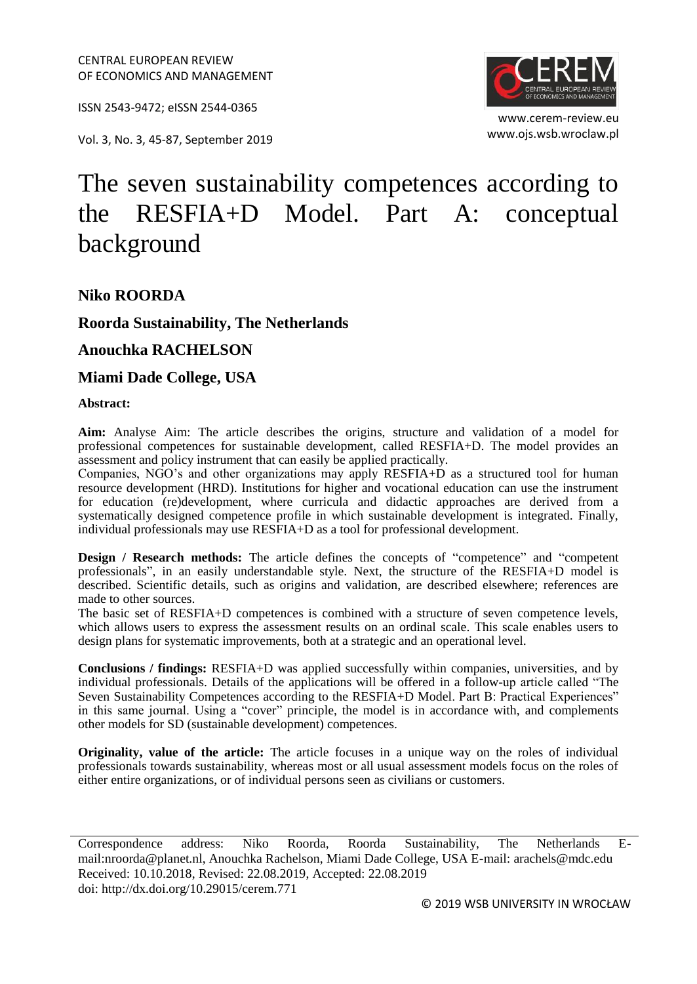ISSN 2543-9472; eISSN 2544-0365

www.ojs.wsb.wroclaw.pl Vol. 3, No. 3, 45-87, September <sup>2019</sup>



www.cerem-review.eu

# The seven sustainability competences according to the RESFIA+D Model. Part A: conceptual background

**Niko ROORDA**

**Roorda Sustainability, The Netherlands**

#### **Anouchka RACHELSON**

**Miami Dade College, USA**

#### **Abstract:**

**Aim:** Analyse Aim: The article describes the origins, structure and validation of a model for professional competences for sustainable development, called RESFIA+D. The model provides an assessment and policy instrument that can easily be applied practically.

Companies, NGO's and other organizations may apply RESFIA+D as a structured tool for human resource development (HRD). Institutions for higher and vocational education can use the instrument for education (re)development, where curricula and didactic approaches are derived from a systematically designed competence profile in which sustainable development is integrated. Finally, individual professionals may use RESFIA+D as a tool for professional development.

**Design / Research methods:** The article defines the concepts of "competence" and "competent professionals", in an easily understandable style. Next, the structure of the RESFIA+D model is described. Scientific details, such as origins and validation, are described elsewhere; references are made to other sources.

The basic set of RESFIA+D competences is combined with a structure of seven competence levels, which allows users to express the assessment results on an ordinal scale. This scale enables users to design plans for systematic improvements, both at a strategic and an operational level.

**Conclusions / findings:** RESFIA+D was applied successfully within companies, universities, and by individual professionals. Details of the applications will be offered in a follow-up article called "The Seven Sustainability Competences according to the RESFIA+D Model. Part B: Practical Experiences" in this same journal. Using a "cover" principle, the model is in accordance with, and complements other models for SD (sustainable development) competences.

**Originality, value of the article:** The article focuses in a unique way on the roles of individual professionals towards sustainability, whereas most or all usual assessment models focus on the roles of either entire organizations, or of individual persons seen as civilians or customers.

Correspondence address: Niko Roorda, Roorda Sustainability, The Netherlands Email:nroorda@planet.nl, Anouchka Rachelson, Miami Dade College, USA E-mail: arachels@mdc.edu Received: 10.10.2018, Revised: 22.08.2019, Accepted: 22.08.2019 doi: http://dx.doi.org/10.29015/cerem.771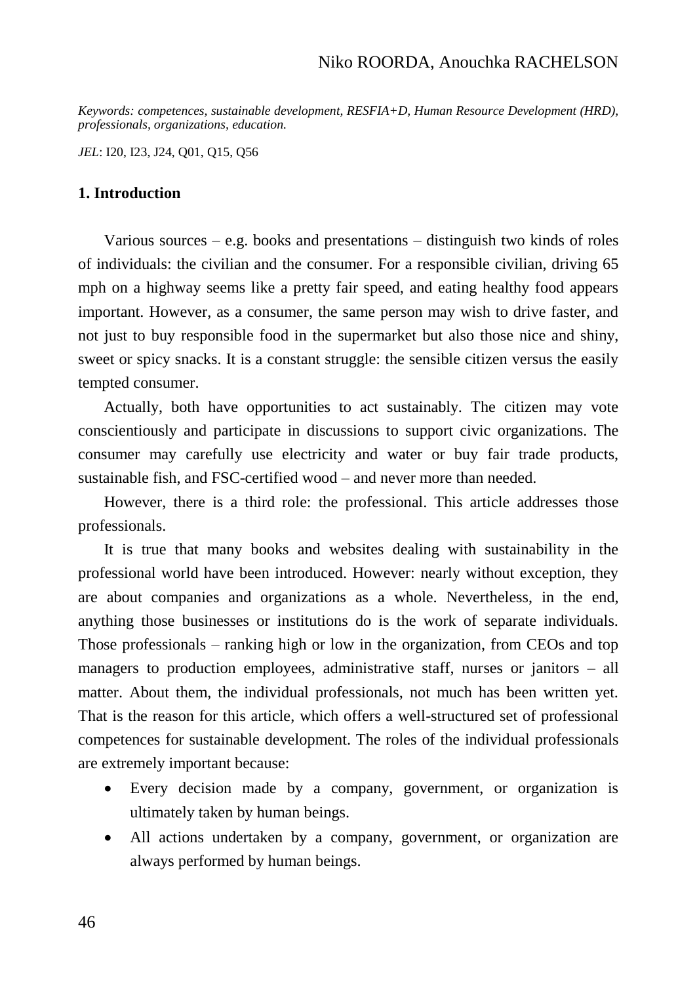*Keywords: competences, sustainable development, RESFIA+D, Human Resource Development (HRD), professionals, organizations, education.*

*JEL*: I20, I23, J24, Q01, Q15, Q56

# **1. Introduction**

Various sources – e.g. books and presentations – distinguish two kinds of roles of individuals: the civilian and the consumer. For a responsible civilian, driving 65 mph on a highway seems like a pretty fair speed, and eating healthy food appears important. However, as a consumer, the same person may wish to drive faster, and not just to buy responsible food in the supermarket but also those nice and shiny, sweet or spicy snacks. It is a constant struggle: the sensible citizen versus the easily tempted consumer.

Actually, both have opportunities to act sustainably. The citizen may vote conscientiously and participate in discussions to support civic organizations. The consumer may carefully use electricity and water or buy fair trade products, sustainable fish, and FSC-certified wood – and never more than needed.

However, there is a third role: the professional. This article addresses those professionals.

It is true that many books and websites dealing with sustainability in the professional world have been introduced. However: nearly without exception, they are about companies and organizations as a whole. Nevertheless, in the end, anything those businesses or institutions do is the work of separate individuals. Those professionals – ranking high or low in the organization, from CEOs and top managers to production employees, administrative staff, nurses or janitors – all matter. About them, the individual professionals, not much has been written yet. That is the reason for this article, which offers a well-structured set of professional competences for sustainable development. The roles of the individual professionals are extremely important because:

- Every decision made by a company, government, or organization is ultimately taken by human beings.
- All actions undertaken by a company, government, or organization are always performed by human beings.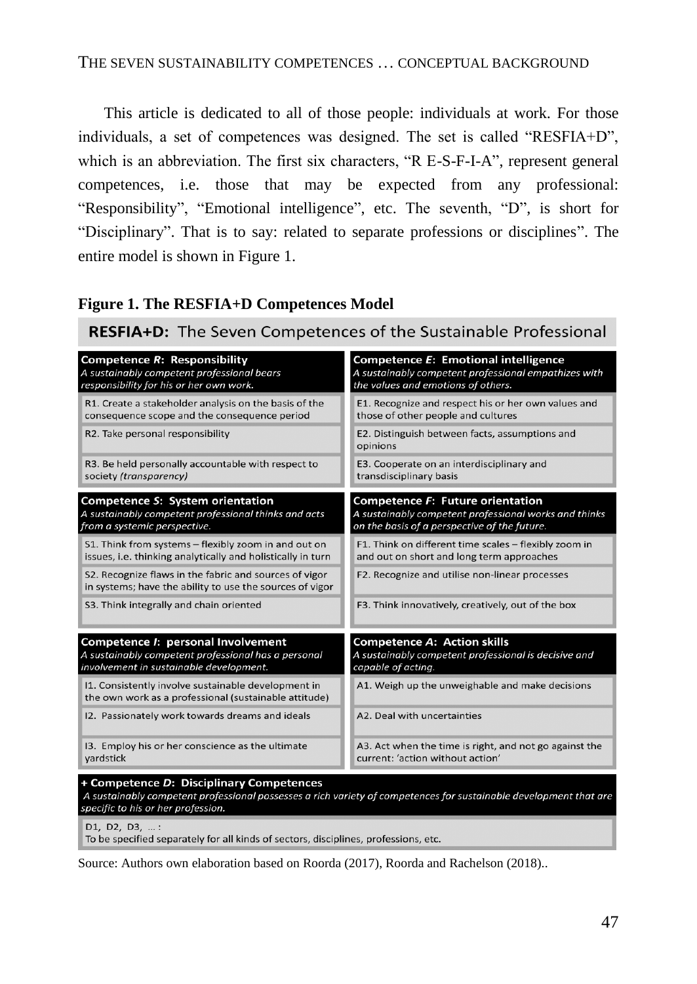# THE SEVEN SUSTAINABILITY COMPETENCES … CONCEPTUAL BACKGROUND

This article is dedicated to all of those people: individuals at work. For those individuals, a set of competences was designed. The set is called "RESFIA+D", which is an abbreviation. The first six characters, "R E-S-F-I-A", represent general competences, i.e. those that may be expected from any professional: "Responsibility", "Emotional intelligence", etc. The seventh, "D", is short for "Disciplinary". That is to say: related to separate professions or disciplines". The entire model is shown in Figure 1.

# **Figure 1. The RESFIA+D Competences Model**

# RESFIA+D: The Seven Competences of the Sustainable Professional

| <b>Competence R: Responsibility</b>                                                                                | Competence E: Emotional intelligence                       |
|--------------------------------------------------------------------------------------------------------------------|------------------------------------------------------------|
| A sustainably competent professional bears                                                                         | A sustainably competent professional empathizes with       |
| responsibility for his or her own work.                                                                            | the values and emotions of others.                         |
| R1. Create a stakeholder analysis on the basis of the                                                              | E1. Recognize and respect his or her own values and        |
| consequence scope and the consequence period                                                                       | those of other people and cultures                         |
| R2. Take personal responsibility                                                                                   | E2. Distinguish between facts, assumptions and<br>opinions |
| R3. Be held personally accountable with respect to                                                                 | E3. Cooperate on an interdisciplinary and                  |
| society (transparency)                                                                                             | transdisciplinary basis                                    |
| <b>Competence S: System orientation</b>                                                                            | Competence F: Future orientation                           |
| A sustainably competent professional thinks and acts                                                               | A sustainably competent professional works and thinks      |
| from a systemic perspective.                                                                                       | on the basis of a perspective of the future.               |
| S1. Think from systems - flexibly zoom in and out on                                                               | F1. Think on different time scales - flexibly zoom in      |
| issues, i.e. thinking analytically and holistically in turn                                                        | and out on short and long term approaches                  |
| S2. Recognize flaws in the fabric and sources of vigor<br>in systems; have the ability to use the sources of vigor | F2. Recognize and utilise non-linear processes             |
| S3. Think integrally and chain oriented                                                                            | F3. Think innovatively, creatively, out of the box         |
| Competence /: personal Involvement                                                                                 | <b>Competence A: Action skills</b>                         |
| A sustainably competent professional has a personal                                                                | A sustainably competent professional is decisive and       |
| involvement in sustainable development.                                                                            | capable of acting.                                         |
| I1. Consistently involve sustainable development in<br>the own work as a professional (sustainable attitude)       | A1. Weigh up the unweighable and make decisions            |
| 12. Passionately work towards dreams and ideals                                                                    | A2. Deal with uncertainties                                |
| 13. Employ his or her conscience as the ultimate                                                                   | A3. Act when the time is right, and not go against the     |
| yardstick                                                                                                          | current: 'action without action'                           |
| <b>D. Discluding</b><br>$\sim$<br>I                                                                                |                                                            |

ompetence D: Disciplinary Competences

A sustainably competent professional possesses a rich variety of competences for sustainable development that are specific to his or her profession.

D1, D2, D3, ...:

To be specified separately for all kinds of sectors, disciplines, professions, etc.

Source: Authors own elaboration based on Roorda (2017), Roorda and Rachelson (2018)..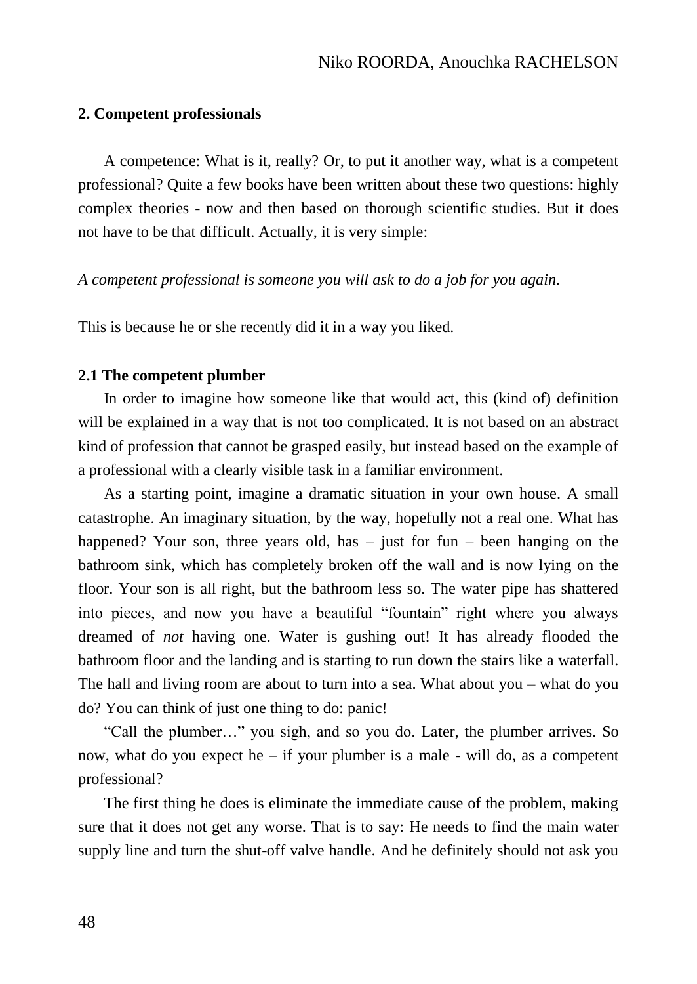# **2. Competent professionals**

A competence: What is it, really? Or, to put it another way, what is a competent professional? Quite a few books have been written about these two questions: highly complex theories - now and then based on thorough scientific studies. But it does not have to be that difficult. Actually, it is very simple:

#### *A competent professional is someone you will ask to do a job for you again.*

This is because he or she recently did it in a way you liked.

# **2.1 The competent plumber**

In order to imagine how someone like that would act, this (kind of) definition will be explained in a way that is not too complicated. It is not based on an abstract kind of profession that cannot be grasped easily, but instead based on the example of a professional with a clearly visible task in a familiar environment.

As a starting point, imagine a dramatic situation in your own house. A small catastrophe. An imaginary situation, by the way, hopefully not a real one. What has happened? Your son, three years old, has  $-$  just for fun – been hanging on the bathroom sink, which has completely broken off the wall and is now lying on the floor. Your son is all right, but the bathroom less so. The water pipe has shattered into pieces, and now you have a beautiful "fountain" right where you always dreamed of *not* having one. Water is gushing out! It has already flooded the bathroom floor and the landing and is starting to run down the stairs like a waterfall. The hall and living room are about to turn into a sea. What about you – what do you do? You can think of just one thing to do: panic!

"Call the plumber…" you sigh, and so you do. Later, the plumber arrives. So now, what do you expect he – if your plumber is a male - will do, as a competent professional?

The first thing he does is eliminate the immediate cause of the problem, making sure that it does not get any worse. That is to say: He needs to find the main water supply line and turn the shut-off valve handle. And he definitely should not ask you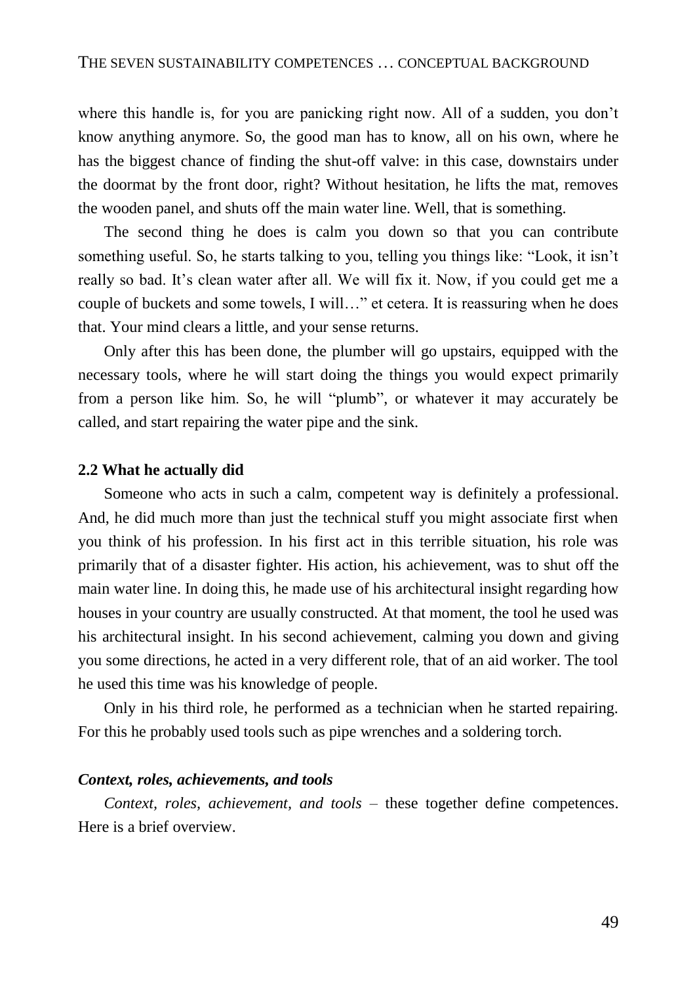where this handle is, for you are panicking right now. All of a sudden, you don't know anything anymore. So, the good man has to know, all on his own, where he has the biggest chance of finding the shut-off valve: in this case, downstairs under the doormat by the front door, right? Without hesitation, he lifts the mat, removes the wooden panel, and shuts off the main water line. Well, that is something.

The second thing he does is calm you down so that you can contribute something useful. So, he starts talking to you, telling you things like: "Look, it isn't really so bad. It's clean water after all. We will fix it. Now, if you could get me a couple of buckets and some towels, I will…" et cetera. It is reassuring when he does that. Your mind clears a little, and your sense returns.

Only after this has been done, the plumber will go upstairs, equipped with the necessary tools, where he will start doing the things you would expect primarily from a person like him. So, he will "plumb", or whatever it may accurately be called, and start repairing the water pipe and the sink.

# **2.2 What he actually did**

Someone who acts in such a calm, competent way is definitely a professional. And, he did much more than just the technical stuff you might associate first when you think of his profession. In his first act in this terrible situation, his role was primarily that of a disaster fighter. His action, his achievement, was to shut off the main water line. In doing this, he made use of his architectural insight regarding how houses in your country are usually constructed. At that moment, the tool he used was his architectural insight. In his second achievement, calming you down and giving you some directions, he acted in a very different role, that of an aid worker. The tool he used this time was his knowledge of people.

Only in his third role, he performed as a technician when he started repairing. For this he probably used tools such as pipe wrenches and a soldering torch.

## *Context, roles, achievements, and tools*

*Context, roles, achievement, and tools* – these together define competences. Here is a brief overview.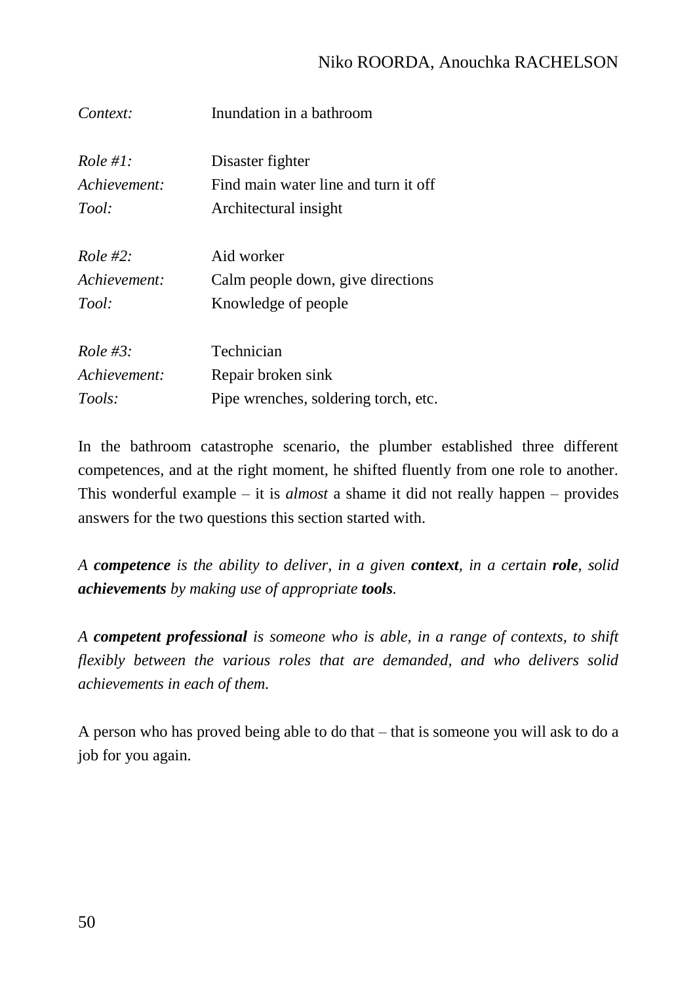# Niko ROORDA, Anouchka RACHELSON

| Context:      | Inundation in a bathroom             |
|---------------|--------------------------------------|
| $Role \#1:$   | Disaster fighter                     |
| Achievement:  | Find main water line and turn it off |
| Tool:         | Architectural insight                |
| $Role \#2$    | Aid worker                           |
| Achievement:  | Calm people down, give directions    |
| Tool:         | Knowledge of people                  |
| $Role \#3:$   | Technician                           |
| Achievement:  | Repair broken sink                   |
| <i>Tools:</i> | Pipe wrenches, soldering torch, etc. |

In the bathroom catastrophe scenario, the plumber established three different competences, and at the right moment, he shifted fluently from one role to another. This wonderful example – it is *almost* a shame it did not really happen – provides answers for the two questions this section started with.

*A competence is the ability to deliver, in a given context, in a certain role, solid achievements by making use of appropriate tools.*

*A competent professional is someone who is able, in a range of contexts, to shift flexibly between the various roles that are demanded, and who delivers solid achievements in each of them.*

A person who has proved being able to do that – that is someone you will ask to do a job for you again.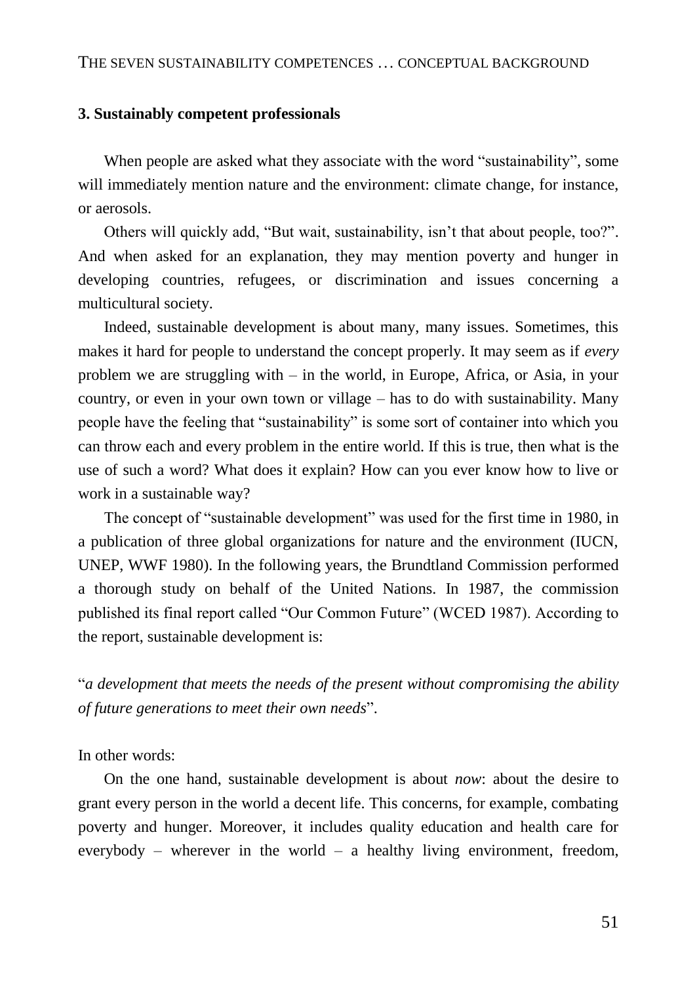# **3. Sustainably competent professionals**

When people are asked what they associate with the word "sustainability", some will immediately mention nature and the environment: climate change, for instance, or aerosols.

Others will quickly add, "But wait, sustainability, isn't that about people, too?". And when asked for an explanation, they may mention poverty and hunger in developing countries, refugees, or discrimination and issues concerning a multicultural society.

Indeed, sustainable development is about many, many issues. Sometimes, this makes it hard for people to understand the concept properly. It may seem as if *every* problem we are struggling with – in the world, in Europe, Africa, or Asia, in your country, or even in your own town or village – has to do with sustainability. Many people have the feeling that "sustainability" is some sort of container into which you can throw each and every problem in the entire world. If this is true, then what is the use of such a word? What does it explain? How can you ever know how to live or work in a sustainable way?

The concept of "sustainable development" was used for the first time in 1980, in a publication of three global organizations for nature and the environment (IUCN, UNEP, WWF 1980). In the following years, the Brundtland Commission performed a thorough study on behalf of the United Nations. In 1987, the commission published its final report called "Our Common Future" (WCED 1987). According to the report, sustainable development is:

"*a development that meets the needs of the present without compromising the ability of future generations to meet their own needs*".

In other words:

On the one hand, sustainable development is about *now*: about the desire to grant every person in the world a decent life. This concerns, for example, combating poverty and hunger. Moreover, it includes quality education and health care for everybody – wherever in the world – a healthy living environment, freedom,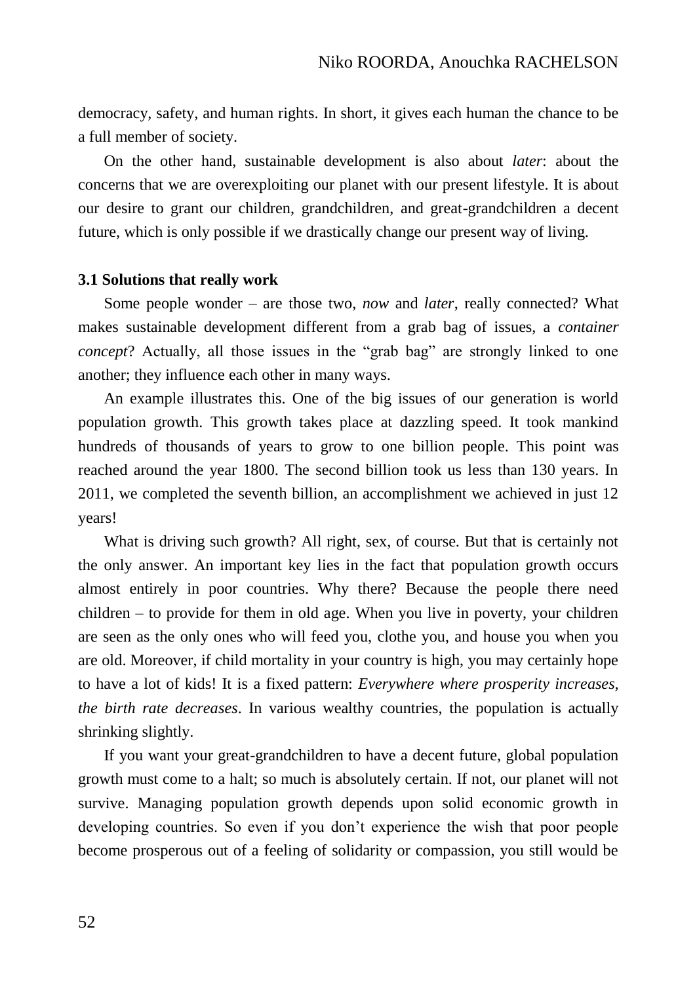democracy, safety, and human rights. In short, it gives each human the chance to be a full member of society.

On the other hand, sustainable development is also about *later*: about the concerns that we are overexploiting our planet with our present lifestyle. It is about our desire to grant our children, grandchildren, and great-grandchildren a decent future, which is only possible if we drastically change our present way of living.

# **3.1 Solutions that really work**

Some people wonder – are those two, *now* and *later*, really connected? What makes sustainable development different from a grab bag of issues, a *container concept*? Actually, all those issues in the "grab bag" are strongly linked to one another; they influence each other in many ways.

An example illustrates this. One of the big issues of our generation is world population growth. This growth takes place at dazzling speed. It took mankind hundreds of thousands of years to grow to one billion people. This point was reached around the year 1800. The second billion took us less than 130 years. In 2011, we completed the seventh billion, an accomplishment we achieved in just 12 years!

What is driving such growth? All right, sex, of course. But that is certainly not the only answer. An important key lies in the fact that population growth occurs almost entirely in poor countries. Why there? Because the people there need children – to provide for them in old age. When you live in poverty, your children are seen as the only ones who will feed you, clothe you, and house you when you are old. Moreover, if child mortality in your country is high, you may certainly hope to have a lot of kids! It is a fixed pattern: *Everywhere where prosperity increases, the birth rate decreases*. In various wealthy countries, the population is actually shrinking slightly.

If you want your great-grandchildren to have a decent future, global population growth must come to a halt; so much is absolutely certain. If not, our planet will not survive. Managing population growth depends upon solid economic growth in developing countries. So even if you don't experience the wish that poor people become prosperous out of a feeling of solidarity or compassion, you still would be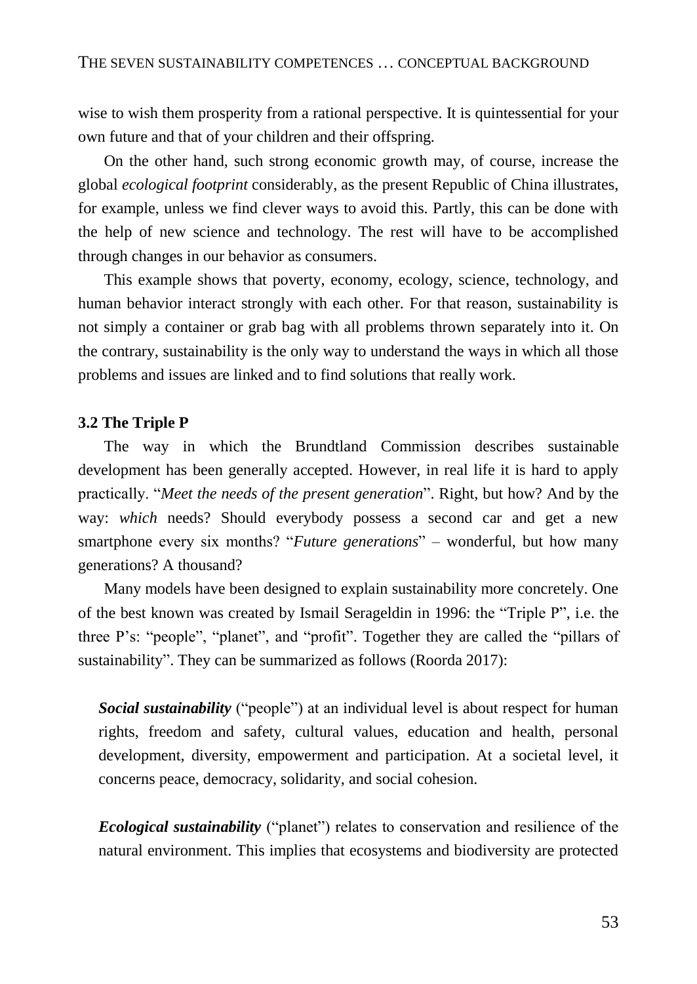wise to wish them prosperity from a rational perspective. It is quintessential for your own future and that of your children and their offspring.

On the other hand, such strong economic growth may, of course, increase the global *ecological footprint* considerably, as the present Republic of China illustrates, for example, unless we find clever ways to avoid this. Partly, this can be done with the help of new science and technology. The rest will have to be accomplished through changes in our behavior as consumers.

This example shows that poverty, economy, ecology, science, technology, and human behavior interact strongly with each other. For that reason, sustainability is not simply a container or grab bag with all problems thrown separately into it. On the contrary, sustainability is the only way to understand the ways in which all those problems and issues are linked and to find solutions that really work.

# **3.2 The Triple P**

The way in which the Brundtland Commission describes sustainable development has been generally accepted. However, in real life it is hard to apply practically. "*Meet the needs of the present generation*". Right, but how? And by the way: *which* needs? Should everybody possess a second car and get a new smartphone every six months? "*Future generations*" – wonderful, but how many generations? A thousand?

Many models have been designed to explain sustainability more concretely. One of the best known was created by Ismail Serageldin in 1996: the "Triple P", i.e. the three P's: "people", "planet", and "profit". Together they are called the "pillars of sustainability". They can be summarized as follows (Roorda 2017):

*Social sustainability* ("people") at an individual level is about respect for human rights, freedom and safety, cultural values, education and health, personal development, diversity, empowerment and participation. At a societal level, it concerns peace, democracy, solidarity, and social cohesion.

*Ecological sustainability* ("planet") relates to conservation and resilience of the natural environment. This implies that ecosystems and biodiversity are protected